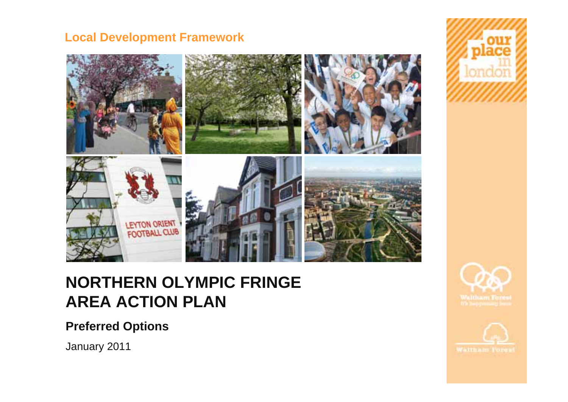### **Local Development Framework**



# **NORTHERN OLYMPIC FRINGE AREA ACTION PLAN**

## **Preferred Options**

January 2011



ondo

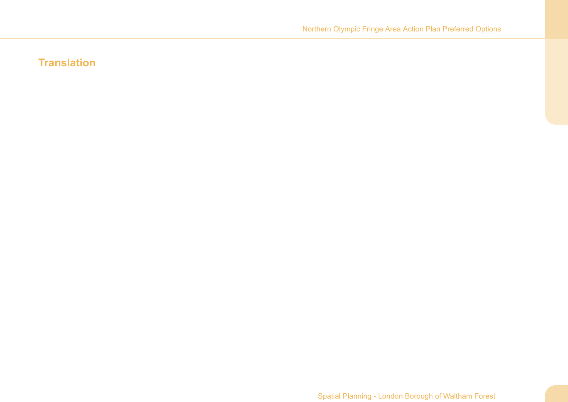### **Translation**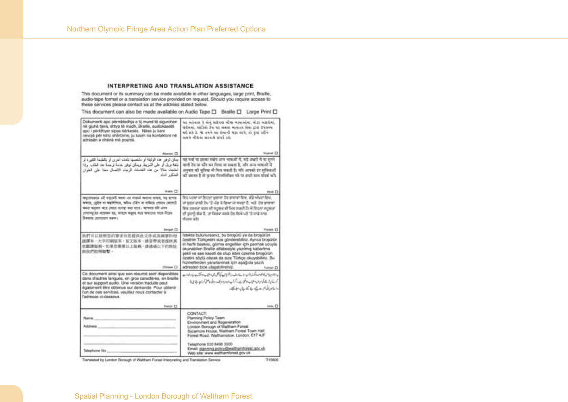#### INTERPRETING AND TRANSLATION ASSISTANCE

This document or its summary can be made available in other languages, large print, Braille, audio-tape format or a translation service provided on request. Should you require access to these services please contact us at

This document can also be made available on Audio Tape [ Braile [ Large Print [ ]

| Dokumenti apo përmbledhja e tij mund të sigurohen<br>ně gjuhé tjeni, shtyp té madti, Braille, audiokaseté<br>apo i përkthyer sipas kërkesite. Nëse ju keni<br>nevojā pēr kāto shērbims, ju lusim na kontaktoni nē<br>admissim e dhévé më poshtë.                                              | આ અકવાલ કે એનું સર્જયલ બીજા ભાષાઓમાં, ચોટા અલ્લીમાં,<br>GEARS, MILHO 24 NX MANS MINIAL HAL 226 STAINS<br>$+5$ at $1.4$ $+1.0$ at $-1.0$ $+1.0$ $+1.0$ $+1.0$<br>અમને નીચેના સવનાથે સપાડે પ્રદે                                                                                                                                                                                                                                                 |
|-----------------------------------------------------------------------------------------------------------------------------------------------------------------------------------------------------------------------------------------------------------------------------------------------|------------------------------------------------------------------------------------------------------------------------------------------------------------------------------------------------------------------------------------------------------------------------------------------------------------------------------------------------------------------------------------------------------------------------------------------------|
| Aberica: C2                                                                                                                                                                                                                                                                                   | Suizar D                                                                                                                                                                                                                                                                                                                                                                                                                                       |
| يسكل توفير. هذه الوليقة أو متخصنها بتَّخات أخرى أو بالطبعة الكبيرة أو<br>يلغة بريل أو على الشريط ويمكن توفير بفتمة ثرجمة عند الطلب واذا<br>المشيعات بنتالا من علم المتنسلات الربيان الالعسال سعدًا على العنوان<br>المثالين أنناما                                                             | यह पर्वा या उसका संक्षेप अन्य भाषाओं में, को उन्हरों में या सनने<br>बाती देप पर भीष कर लिया जा सकता है, और अन्य भाषाओं में<br>उत्पाद को सोका भी पित सकती है। यदि आपको इन सोकाओं<br>की जनरत है तो कायब निम्नलिब्रित पते पर हमारे साथ संपर्क करें।                                                                                                                                                                                               |
| Andres [3]                                                                                                                                                                                                                                                                                    | Hindi [3]                                                                                                                                                                                                                                                                                                                                                                                                                                      |
| my provided and the price and street manager and specific<br>क्रमता, अंदिन ना कार्निगिटम, स्त्रीय डोईन ना नाबिटर (मानन (कटनडी<br>बन्दा बनुवार बड़ा उसका नावक नंदा घात । बात्मात धनि अन्त<br>pressure attempt as welco were will selected velocity<br>Sweets continent stands.                 | floor wange in the payment of the amongs flow, with wheat flow,<br>ਮਾਂ ਚਰਨ ਵਾਲੀ ਟੋਪ 'ਤੇ ਪੀਰ ਕੋ ਤਿਆ ਜਾ ਜਕਦਾ ਹੈ. ਅਤੇ ਹੋਰ ਭਾਸ਼ਾਵਾਂ<br>ਵਿਚ ਤਾਰਯਮਾ ਕਰਨ ਦੀ ਸਹੂਸ਼ਤ ਦੀ ਮਿਲ ਲਕਦੀ ਹੈ। ਜੋ ਇਹਨਾਂ ਸਹੂਸ਼ਤਾਂ<br>ਦੀ ਗੁਰਾਲੇ ਸ਼ੋਕ ਹੈ. 'ਜਾਂ ਕਿਰਪਾ ਕਰਕੇ ਹੋਰ ਰਿਪਏ ਪਏ 'ਤੇ ਜਾਕੇ ਨਾਲ<br><b>Museum</b>                                                                                                                                                                  |
| <b>Dangel D</b>                                                                                                                                                                                                                                                                               | Purgen D                                                                                                                                                                                                                                                                                                                                                                                                                                       |
| 我們可以接触我的要求向您提供此文件成其编纂的经<br> 画罩氷・大字印刷版本、百文版本、鉄音带或者怪供其<br>仕載課組長・如果在南東は上海務・調油過以下的地址<br>有目的旧书制型。<br>D await                                                                                                                                                                                       | Istekta bulunursaniz, bu brosürü ya da brosürüri<br>özelinin Türkçesini size gönderebiliriz. Ayrıca tıroşürün<br>iri harfli baskısı, görme engeliler için parmak ucuyla<br>okunablen Bralle alfabesiyle yazılmış kabartma<br>şekli ve ses kaseti de olup istek üzerine broşûrün<br>özetini sözlü olarak da size Türkçe okuyabilirtz. Bu-<br>hizmetlerden yararlanmak için aşağıda yazılı<br>adreston bine utagabilirsiniz.<br><b>Turean II</b> |
| Ce document aimsi que son résumé sont disponibles.<br>dans d'autres langues, en gros caractères, en braille<br>et sur support audio. Une version traduite pout.<br>également étre obtenue sur demande. Pour obtenir<br>fun de ces services, veuillez nous contacter à<br>l'admise ci-dessous. | برداة ويوازي كالمصددة وبالوارد واستشعاب وأكتابها والمحارث والمتهاجين والمصعد<br>222465 Walnut was the Fay provide to Li<br><i>Stablebolden</i>                                                                                                                                                                                                                                                                                                 |
| <b>Fierch CT</b>                                                                                                                                                                                                                                                                              | lass D                                                                                                                                                                                                                                                                                                                                                                                                                                         |
| <b>Name</b><br>Address                                                                                                                                                                                                                                                                        | CONTACT:<br>Planning Policy Team<br>Environment and Regeneration<br>London Borough of Waltham Forest<br>Sycamore House, Watham Forest Town Hall<br>Forest Road, Walthamstow, London, E17 AJF                                                                                                                                                                                                                                                   |
| Talegrivine No.                                                                                                                                                                                                                                                                               | Telephone 020 8496 3000<br>Email: planning policy@watthattfcrest.gov.uk<br>Web site: www.walthamforest.gov.uk                                                                                                                                                                                                                                                                                                                                  |

Translated by Lundon Borough of Waltham Forest Mercreting and Translation Service

Spatial Planning - London Borough of Waltham Forest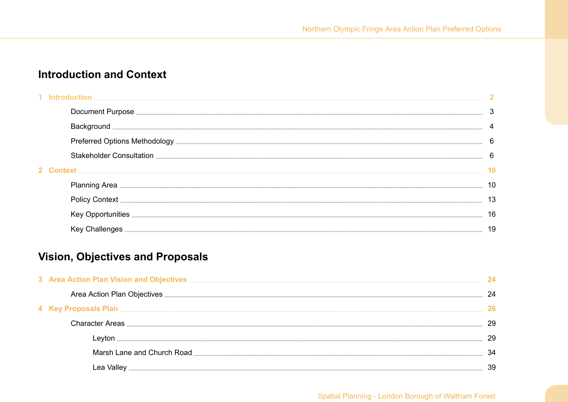### **Introduction and Context**

### **Vision, Objectives and Proposals**

| 3 Area Action Plan Vision and Objectives <b>Commission Commission Commission</b> Commission Commission Commission |  |
|-------------------------------------------------------------------------------------------------------------------|--|
|                                                                                                                   |  |
|                                                                                                                   |  |
|                                                                                                                   |  |
|                                                                                                                   |  |
|                                                                                                                   |  |
|                                                                                                                   |  |

#### Spatial Planning - London Borough of Waltham Forest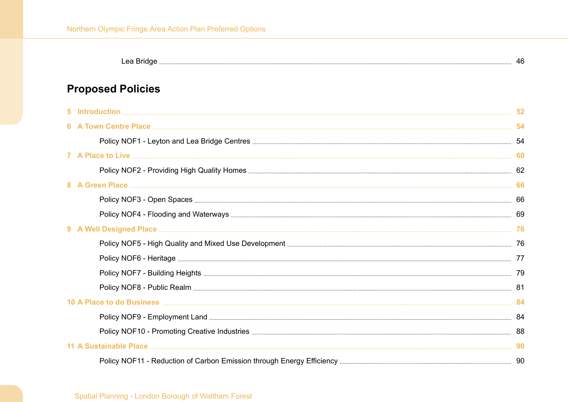|--|--|

# **Proposed Policies**

|                                                                                                                                                                                                                                     | 54 |
|-------------------------------------------------------------------------------------------------------------------------------------------------------------------------------------------------------------------------------------|----|
|                                                                                                                                                                                                                                     | 54 |
|                                                                                                                                                                                                                                     | 60 |
|                                                                                                                                                                                                                                     | 62 |
|                                                                                                                                                                                                                                     | 66 |
|                                                                                                                                                                                                                                     |    |
|                                                                                                                                                                                                                                     |    |
|                                                                                                                                                                                                                                     |    |
|                                                                                                                                                                                                                                     |    |
|                                                                                                                                                                                                                                     |    |
|                                                                                                                                                                                                                                     |    |
|                                                                                                                                                                                                                                     |    |
|                                                                                                                                                                                                                                     |    |
|                                                                                                                                                                                                                                     | 84 |
|                                                                                                                                                                                                                                     | 88 |
| 11 A Sustainable Place <b>Excess Place and Construction Construction</b> and a series of the series of the series of the series of the series of the series of the series of the series of the series of the series of the series o | 90 |
|                                                                                                                                                                                                                                     |    |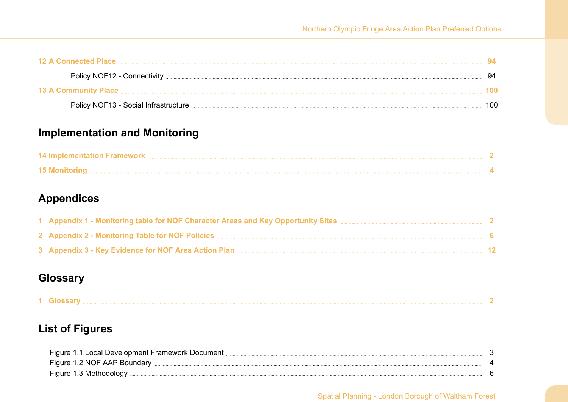| 12 A Connected Place <b>Express Automaker 2018</b> |     |
|----------------------------------------------------|-----|
|                                                    | QΔ  |
|                                                    |     |
|                                                    | 10C |

### **Implementation and Monitoring**

| <b>14 Implementation Framework</b><br> |  |
|----------------------------------------|--|
| <b>15 Monitorin</b>                    |  |

### **Appendices**

| 3 Appendix 3 - Key Evidence for NOF Area Action Plan <b>Commission Commission Control</b> er Service Commission Commission |  |
|----------------------------------------------------------------------------------------------------------------------------|--|

### **Glossary**

|--|

# **List of Figures**

| Figure 1.1 Local Development Framework Document |  |
|-------------------------------------------------|--|
| Figure 1.2 NOF AAP Boundary                     |  |
| Figure 1.3 Methodology                          |  |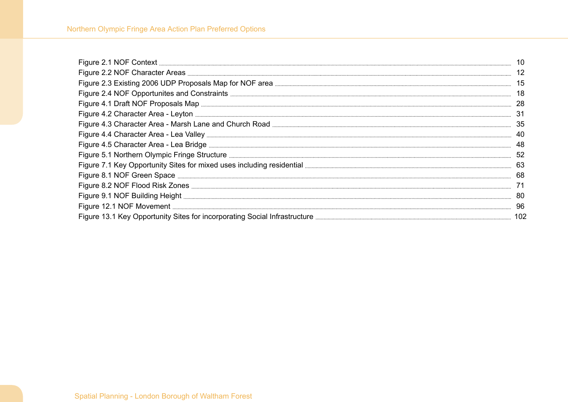| 15 |
|----|
|    |
|    |
|    |
| 35 |
|    |
|    |
|    |
|    |
|    |
|    |
|    |
| 96 |
|    |
|    |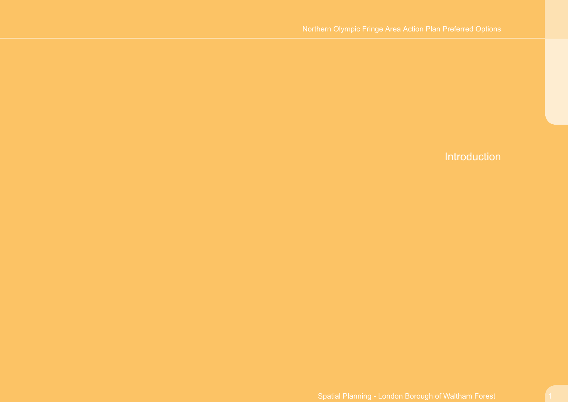Introduction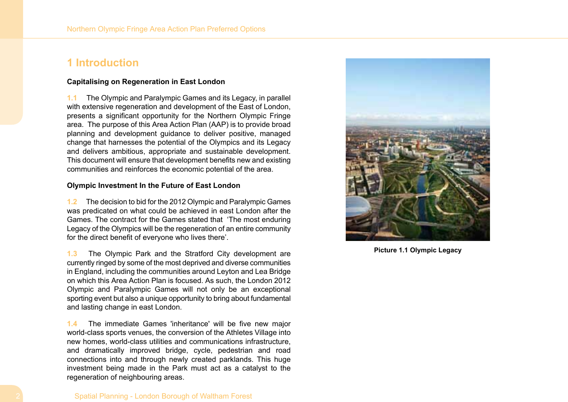### <span id="page-9-0"></span>**1 Introduction**

#### **Capitalising on Regeneration in East London**

**1.1** The Olympic and Paralympic Games and its Legacy, in parallel with extensive regeneration and development of the East of London, presents a significant opportunity for the Northern Olympic Fringe area. The purpose of this Area Action Plan (AAP) is to provide broad planning and development guidance to deliver positive, managed change that harnesses the potential of the Olympics and its Legacy and delivers ambitious, appropriate and sustainable development. This document will ensure that development benefits new and existing communities and reinforces the economic potential of the area.

#### **Olympic Investment In the Future of East London**

**1.2** The decision to bid for the 2012 Olympic and Paralympic Games was predicated on what could be achieved in east London after the Games. The contract for the Games stated that 'The most enduring Legacy of the Olympics will be the regeneration of an entire community for the direct benefit of everyone who lives there'.

**1.3** The Olympic Park and the Stratford City development are currently ringed by some of the most deprived and diverse communities in England, including the communities around Leyton and Lea Bridge on which this Area Action Plan is focused. As such, the London 2012 Olympic and Paralympic Games will not only be an exceptional sporting event but also a unique opportunity to bring about fundamental and lasting change in east London.

**1.4** The immediate Games 'inheritance' will be five new major world-class sports venues, the conversion of the Athletes Village into new homes, world-class utilities and communications infrastructure, and dramatically improved bridge, cycle, pedestrian and road connections into and through newly created parklands. This huge investment being made in the Park must act as a catalyst to the regeneration of neighbouring areas.



**Picture 1.1 Olympic Legacy**

2 Spatial Planning - London Borough of Waltham Forest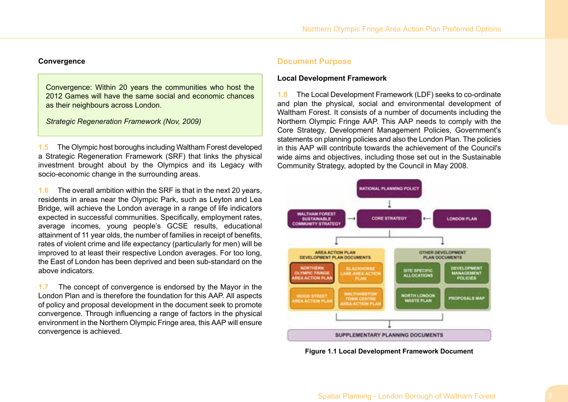#### **Convergence**

Convergence: Within 20 years the communities who host the 2012 Games will have the same social and economic chances as their neighbours across London.

*Strategic Regeneration Framework (Nov, 2009)*

**1.5** The Olympic host boroughs including Waltham Forest developed a Strategic Regeneration Framework (SRF) that links the physical investment brought about by the Olympics and its Legacy with socio-economic change in the surrounding areas.

**1.6** The overall ambition within the SRF is that in the next 20 years, residents in areas near the Olympic Park, such as Leyton and Lea Bridge, will achieve the London average in a range of life indicators expected in successful communities. Specifically, employment rates, average incomes, young people's GCSE results, educational attainment of 11 year olds, the number of families in receipt of benefits, rates of violent crime and life expectancy (particularly for men) will be improved to at least their respective London averages. For too long, the East of London has been deprived and been sub-standard on the above indicators.

**1.7** The concept of convergence is endorsed by the Mayor in the London Plan and is therefore the foundation for this AAP. All aspects of policy and proposal development in the document seek to promote convergence. Through influencing a range of factors in the physical environment in the Northern Olympic Fringe area, this AAP will ensure convergence is achieved.

#### <span id="page-10-0"></span>**Document Purpose**

#### **Local Development Framework**

**1.8** The Local Development Framework (LDF) seeks to co-ordinate and plan the physical, social and environmental development of Waltham Forest. It consists of a number of documents including the Northern Olympic Fringe AAP. This AAP needs to comply with the Core Strategy, Development Management Policies, Government's statements on planning policies and also the London Plan. The policies in this AAP will contribute towards the achievement of the Council's wide aims and objectives, including those set out in the Sustainable Community Strategy, adopted by the Council in May 2008.



<span id="page-10-1"></span>**Figure 1.1 Local Development Framework Document**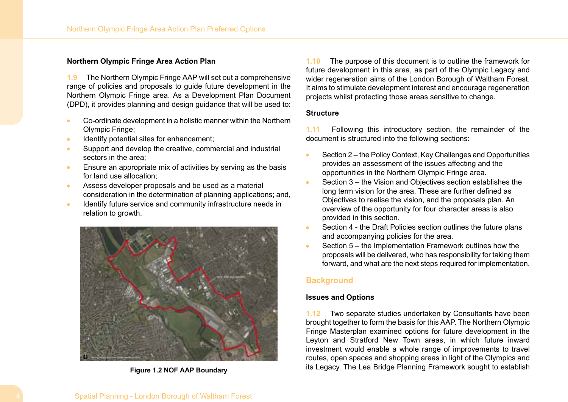#### **Northern Olympic Fringe Area Action Plan**

**1.9** The Northern Olympic Fringe AAP will set out a comprehensive range of policies and proposals to guide future development in the Northern Olympic Fringe area. As a Development Plan Document (DPD), it provides planning and design guidance that will be used to:

- Co-ordinate development in a holistic manner within the Northern Olympic Fringe;
- Identify potential sites for enhancement;
- Support and develop the creative, commercial and industrial sectors in the area;
- Ensure an appropriate mix of activities by serving as the basis  $\bullet$ for land use allocation;
- Assess developer proposals and be used as a material  $\bullet$ consideration in the determination of planning applications; and,
- Identify future service and community infrastructure needs in  $\bullet$ relation to growth.

<span id="page-11-1"></span>![](_page_11_Picture_9.jpeg)

**Figure 1.2 NOF AAP Boundary**

**1.10** The purpose of this document is to outline the framework for future development in this area, as part of the Olympic Legacy and wider regeneration aims of the London Borough of Waltham Forest. It aims to stimulate development interest and encourage regeneration projects whilst protecting those areas sensitive to change.

#### **Structure**

**1.11** Following this introductory section, the remainder of the document is structured into the following sections:

- Section 2 the Policy Context, Key Challenges and Opportunities provides an assessment of the issues affecting and the opportunities in the Northern Olympic Fringe area.
- Section 3 the Vision and Objectives section establishes the long term vision for the area. These are further defined as Objectives to realise the vision, and the proposals plan. An overview of the opportunity for four character areas is also provided in this section.
- Section 4 the Draft Policies section outlines the future plans and accompanying policies for the area.
- <span id="page-11-0"></span>Section 5 – the Implementation Framework outlines how the proposals will be delivered, who has responsibility for taking them forward, and what are the next steps required for implementation.

#### **Background**

#### **Issues and Options**

**1.12** Two separate studies undertaken by Consultants have been brought together to form the basis for this AAP. The Northern Olympic Fringe Masterplan examined options for future development in the Leyton and Stratford New Town areas, in which future inward investment would enable a whole range of improvements to travel routes, open spaces and shopping areas in light of the Olympics and its Legacy. The Lea Bridge Planning Framework sought to establish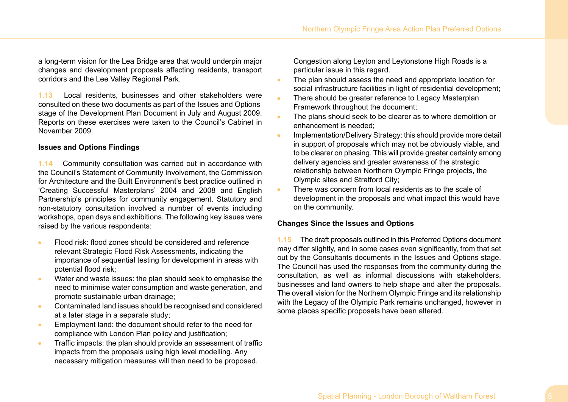a long-term vision for the Lea Bridge area that would underpin major changes and development proposals affecting residents, transport corridors and the Lee Valley Regional Park.

**1.13** Local residents, businesses and other stakeholders were consulted on these two documents as part of the Issues and Options stage of the Development Plan Document in July and August 2009. Reports on these exercises were taken to the Council's Cabinet in November 2009.

#### **Issues and Options Findings**

**1.14** Community consultation was carried out in accordance with the Council's Statement of Community Involvement, the Commission for Architecture and the Built Environment's best practice outlined in 'Creating Successful Masterplans' 2004 and 2008 and English Partnership's principles for community engagement. Statutory and non-statutory consultation involved a number of events including workshops, open days and exhibitions. The following key issues were raised by the various respondents:

- Flood risk: flood zones should be considered and reference relevant Strategic Flood Risk Assessments, indicating the importance of sequential testing for development in areas with potential flood risk;
- Water and waste issues: the plan should seek to emphasise the  $\bullet$ need to minimise water consumption and waste generation, and promote sustainable urban drainage;
- Contaminated land issues should be recognised and considered  $\bullet$ at a later stage in a separate study;
- Employment land: the document should refer to the need for  $\bullet$ compliance with London Plan policy and justification;
- Traffic impacts: the plan should provide an assessment of traffic  $\bullet$ impacts from the proposals using high level modelling. Any necessary mitigation measures will then need to be proposed.

Congestion along Leyton and Leytonstone High Roads is a particular issue in this regard.

- The plan should assess the need and appropriate location for  $\bullet$ social infrastructure facilities in light of residential development;
	- There should be greater reference to Legacy Masterplan Framework throughout the document;
- The plans should seek to be clearer as to where demolition or  $\bullet$ enhancement is needed;
- Implementation/Delivery Strategy: this should provide more detail  $\bullet$ in support of proposals which may not be obviously viable, and to be clearer on phasing. This will provide greater certainty among delivery agencies and greater awareness of the strategic relationship between Northern Olympic Fringe projects, the Olympic sites and Stratford City;
- There was concern from local residents as to the scale of development in the proposals and what impact this would have on the community.

#### **Changes Since the Issues and Options**

 $\bullet$ 

**1.15** The draft proposals outlined in this Preferred Options document may differ slightly, and in some cases even significantly, from that set out by the Consultants documents in the Issues and Options stage. The Council has used the responses from the community during the consultation, as well as informal discussions with stakeholders, businesses and land owners to help shape and alter the proposals. The overall vision for the Northern Olympic Fringe and its relationship with the Legacy of the Olympic Park remains unchanged, however in some places specific proposals have been altered.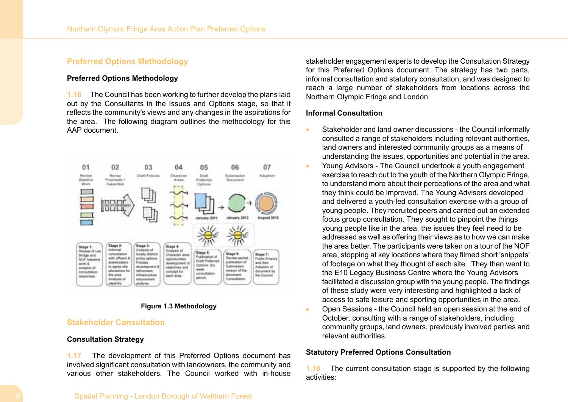#### <span id="page-13-0"></span>**Preferred Options Methodology**

#### **Preferred Options Methodology**

**1.16** The Council has been working to further develop the plans laid out by the Consultants in the Issues and Options stage, so that it reflects the community's views and any changes in the aspirations for the area. The following diagram outlines the methodology for this AAP document.

![](_page_13_Figure_4.jpeg)

**Figure 1.3 Methodology**

#### <span id="page-13-2"></span><span id="page-13-1"></span>**Stakeholder Consultation**

#### **Consultation Strategy**

**1.17** The development of this Preferred Options document has involved significant consultation with landowners, the community and various other stakeholders. The Council worked with in-house

stakeholder engagement experts to develop the Consultation Strategy for this Preferred Options document. The strategy has two parts, informal consultation and statutory consultation, and was designed to reach a large number of stakeholders from locations across the Northern Olympic Fringe and London.

#### **Informal Consultation**

- Stakeholder and land owner discussions the Council informally  $\bullet$ consulted a range of stakeholders including relevant authorities, land owners and interested community groups as a means of understanding the issues, opportunities and potential in the area.
- Young Advisors The Council undertook a youth engagement exercise to reach out to the youth of the Northern Olympic Fringe, to understand more about their perceptions of the area and what they think could be improved. The Young Advisors developed and delivered a youth-led consultation exercise with a group of young people. They recruited peers and carried out an extended focus group consultation. They sought to pinpoint the things young people like in the area, the issues they feel need to be addressed as well as offering their views as to how we can make the area better. The participants were taken on a tour of the NOF area, stopping at key locations where they filmed short 'snippets' of footage on what they thought of each site. They then went to the E10 Legacy Business Centre where the Young Advisors facilitated a discussion group with the young people. The findings of these study were very interesting and highlighted a lack of access to safe leisure and sporting opportunities in the area.
- Open Sessions the Council held an open session at the end of October, consulting with a range of stakeholders, including community groups, land owners, previously involved parties and relevant authorities.

#### **Statutory Preferred Options Consultation**

**1.18** The current consultation stage is supported by the following activities:

#### 6 Spatial Planning - London Borough of Waltham Forest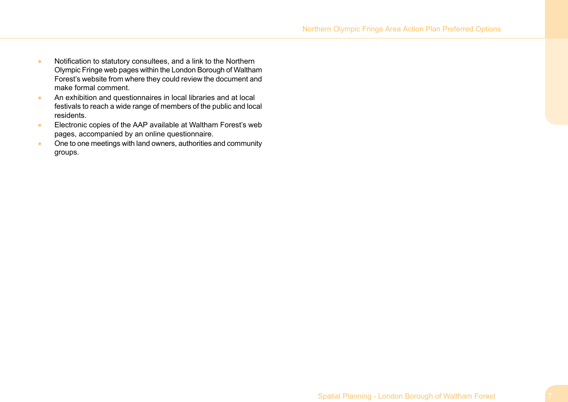- Notification to statutory consultees, and a link to the Northern  $\bullet$ Olympic Fringe web pages within the London Borough of Waltham Forest's website from where they could review the document and make formal comment.
- An exhibition and questionnaires in local libraries and at local  $\bullet$ festivals to reach a wide range of members of the public and local residents.
- Electronic copies of the AAP available at Waltham Forest's web  $\bullet$ pages, accompanied by an online questionnaire.
- One to one meetings with land owners, authorities and community  $\bullet$ groups.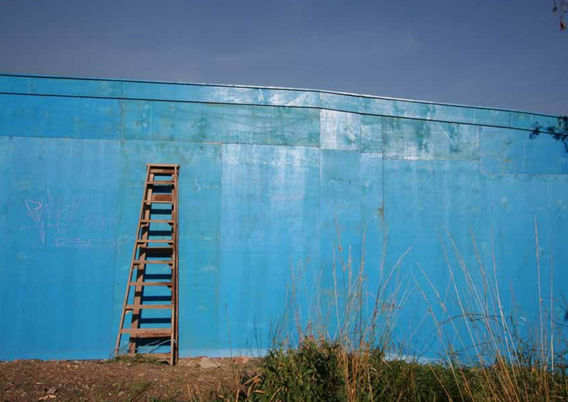![](_page_15_Picture_0.jpeg)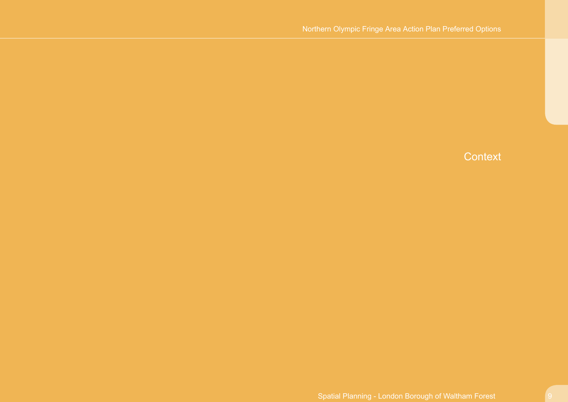**Context**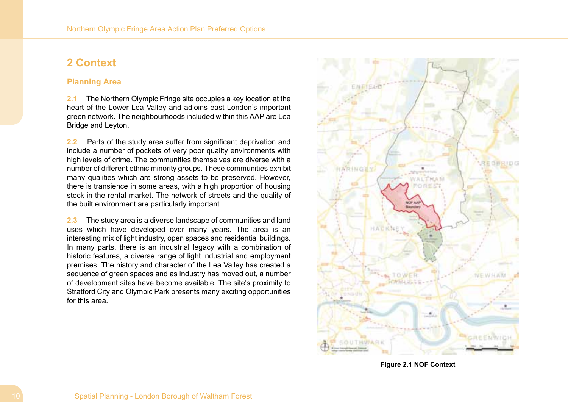### <span id="page-17-0"></span>**2 Context**

#### <span id="page-17-1"></span>**Planning Area**

**2.1** The Northern Olympic Fringe site occupies a key location at the heart of the Lower Lea Valley and adjoins east London's important green network. The neighbourhoods included within this AAP are Lea Bridge and Leyton.

**2.2** Parts of the study area suffer from significant deprivation and include a number of pockets of very poor quality environments with high levels of crime. The communities themselves are diverse with a number of different ethnic minority groups. These communities exhibit many qualities which are strong assets to be preserved. However, there is transience in some areas, with a high proportion of housing stock in the rental market. The network of streets and the quality of the built environment are particularly important.

**2.3** The study area is a diverse landscape of communities and land uses which have developed over many years. The area is an interesting mix of light industry, open spaces and residential buildings. In many parts, there is an industrial legacy with a combination of historic features, a diverse range of light industrial and employment premises. The history and character of the Lea Valley has created a sequence of green spaces and as industry has moved out, a number of development sites have become available. The site's proximity to Stratford City and Olympic Park presents many exciting opportunities for this area.

![](_page_17_Figure_6.jpeg)

<span id="page-17-2"></span>**Figure 2.1 NOF Context**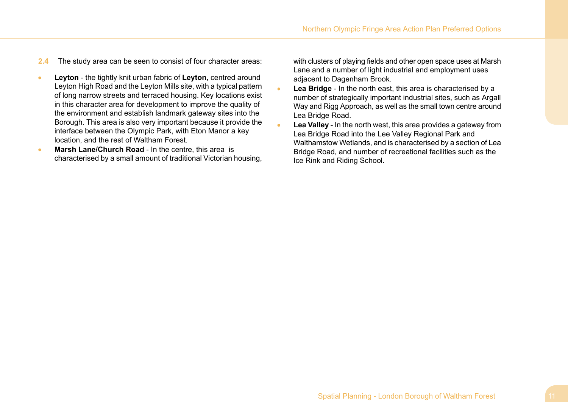- **2.4** The study area can be seen to consist of four character areas:
- **Leyton** the tightly knit urban fabric of **Leyton**, centred around  $\bullet$ Leyton High Road and the Leyton Mills site, with a typical pattern of long narrow streets and terraced housing. Key locations exist in this character area for development to improve the quality of the environment and establish landmark gateway sites into the Borough. This area is also very important because it provide the interface between the Olympic Park, with Eton Manor a key location, and the rest of Waltham Forest.
- **Marsh Lane/Church Road** In the centre, this area is characterised by a small amount of traditional Victorian housing,

with clusters of playing fields and other open space uses at Marsh Lane and a number of light industrial and employment uses adjacent to Dagenham Brook.

- **Lea Bridge** In the north east, this area is characterised by a number of strategically important industrial sites, such as Argall Way and Rigg Approach, as well as the small town centre around Lea Bridge Road.
- **Lea Valley** In the north west, this area provides a gateway from Lea Bridge Road into the Lee Valley Regional Park and Walthamstow Wetlands, and is characterised by a section of Lea Bridge Road, and number of recreational facilities such as the Ice Rink and Riding School.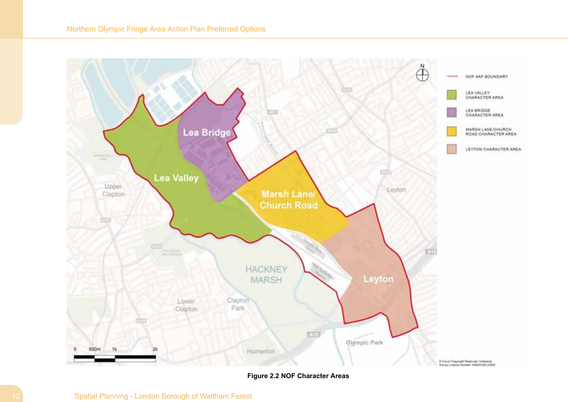![](_page_19_Figure_1.jpeg)

<span id="page-19-0"></span>**Figure 2.2 NOF Character Areas**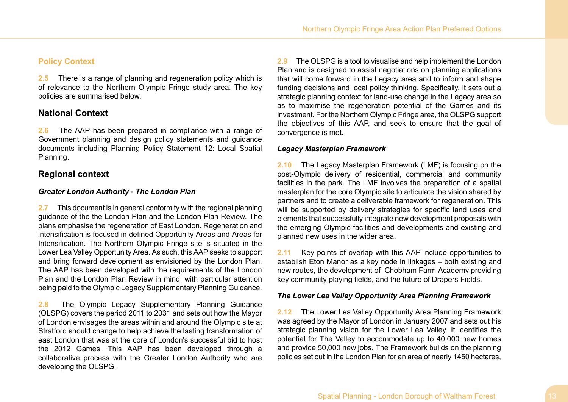#### <span id="page-20-0"></span>**Policy Context**

**2.5** There is a range of planning and regeneration policy which is of relevance to the Northern Olympic Fringe study area. The key policies are summarised below.

#### **National Context**

**2.6** The AAP has been prepared in compliance with a range of Government planning and design policy statements and guidance documents including Planning Policy Statement 12: Local Spatial Planning.

### **Regional context**

#### *Greater London Authority - The London Plan*

**2.7** This document is in general conformity with the regional planning guidance of the the London Plan and the London Plan Review. The plans emphasise the regeneration of East London. Regeneration and intensification is focused in defined Opportunity Areas and Areas for Intensification. The Northern Olympic Fringe site is situated in the Lower Lea Valley Opportunity Area. As such, this AAP seeks to support and bring forward development as envisioned by the London Plan. The AAP has been developed with the requirements of the London Plan and the London Plan Review in mind, with particular attention being paid to the Olympic Legacy Supplementary Planning Guidance.

**2.8** The Olympic Legacy Supplementary Planning Guidance (OLSPG) covers the period 2011 to 2031 and sets out how the Mayor of London envisages the areas within and around the Olympic site at Stratford should change to help achieve the lasting transformation of east London that was at the core of London's successful bid to host the 2012 Games. This AAP has been developed through a collaborative process with the Greater London Authority who are developing the OLSPG.

**2.9** The OLSPG is a tool to visualise and help implement the London Plan and is designed to assist negotiations on planning applications that will come forward in the Legacy area and to inform and shape funding decisions and local policy thinking. Specifically, it sets out a strategic planning context for land-use change in the Legacy area so as to maximise the regeneration potential of the Games and its investment. For the Northern Olympic Fringe area, the OLSPG support the objectives of this AAP, and seek to ensure that the goal of convergence is met.

#### *Legacy Masterplan Framework*

**2.10** The Legacy Masterplan Framework (LMF) is focusing on the post-Olympic delivery of residential, commercial and community facilities in the park. The LMF involves the preparation of a spatial masterplan for the core Olympic site to articulate the vision shared by partners and to create a deliverable framework for regeneration. This will be supported by delivery strategies for specific land uses and elements that successfully integrate new development proposals with the emerging Olympic facilities and developments and existing and planned new uses in the wider area.

**2.11** Key points of overlap with this AAP include opportunities to establish Eton Manor as a key node in linkages – both existing and new routes, the development of Chobham Farm Academy providing key community playing fields, and the future of Drapers Fields.

#### *The Lower Lea Valley Opportunity Area Planning Framework*

**2.12** The Lower Lea Valley Opportunity Area Planning Framework was agreed by the Mayor of London in January 2007 and sets out his strategic planning vision for the Lower Lea Valley. It identifies the potential for The Valley to accommodate up to 40,000 new homes and provide 50,000 new jobs. The Framework builds on the planning policies set out in the London Plan for an area of nearly 1450 hectares,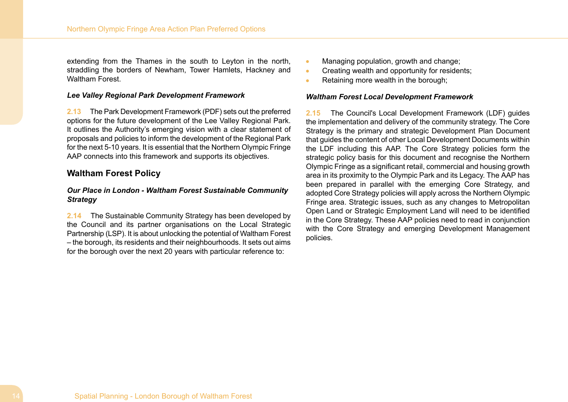extending from the Thames in the south to Leyton in the north, straddling the borders of Newham, Tower Hamlets, Hackney and Waltham Forest.

#### *Lee Valley Regional Park Development Framework*

**2.13** The Park Development Framework (PDF) sets out the preferred options for the future development of the Lee Valley Regional Park. It outlines the Authority's emerging vision with a clear statement of proposals and policies to inform the development of the Regional Park for the next 5-10 years. It is essential that the Northern Olympic Fringe AAP connects into this framework and supports its objectives.

#### **Waltham Forest Policy**

#### *Our Place in London - Waltham Forest Sustainable Community Strategy*

**2.14** The Sustainable Community Strategy has been developed by the Council and its partner organisations on the Local Strategic Partnership (LSP). It is about unlocking the potential of Waltham Forest – the borough, its residents and their neighbourhoods. It sets out aims for the borough over the next 20 years with particular reference to:

- Managing population, growth and change;  $\bullet$
- Creating wealth and opportunity for residents;  $\bullet$
- Retaining more wealth in the borough;  $\bullet$

#### *Waltham Forest Local Development Framework*

**2.15** The Council's Local Development Framework (LDF) guides the implementation and delivery of the community strategy. The Core Strategy is the primary and strategic Development Plan Document that guides the content of other Local Development Documents within the LDF including this AAP. The Core Strategy policies form the strategic policy basis for this document and recognise the Northern Olympic Fringe as a significant retail, commercial and housing growth area in its proximity to the Olympic Park and its Legacy. The AAP has been prepared in parallel with the emerging Core Strategy, and adopted Core Strategy policies will apply across the Northern Olympic Fringe area. Strategic issues, such as any changes to Metropolitan Open Land or Strategic Employment Land will need to be identified in the Core Strategy. These AAP policies need to read in conjunction with the Core Strategy and emerging Development Management policies.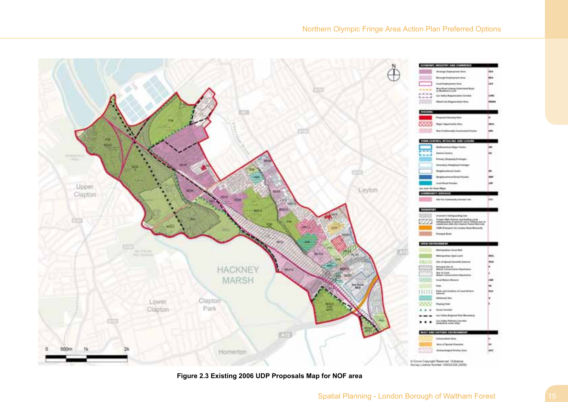![](_page_22_Figure_1.jpeg)

<span id="page-22-0"></span>**Figure 2.3 Existing 2006 UDP Proposals Map for NOF area**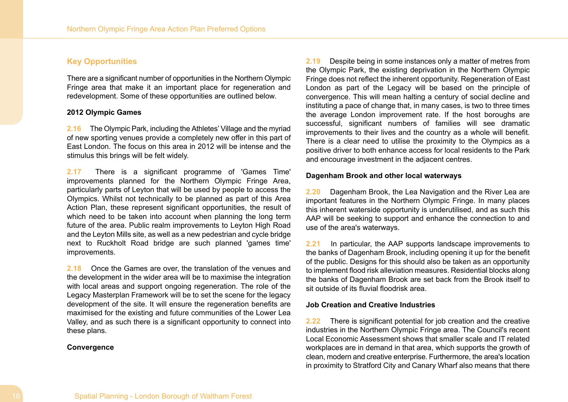#### <span id="page-23-0"></span>**Key Opportunities**

There are a significant number of opportunities in the Northern Olympic Fringe area that make it an important place for regeneration and redevelopment. Some of these opportunities are outlined below.

#### **2012 Olympic Games**

**2.16** The Olympic Park, including the Athletes' Village and the myriad of new sporting venues provide a completely new offer in this part of East London. The focus on this area in 2012 will be intense and the stimulus this brings will be felt widely.

**2.17** There is a significant programme of 'Games Time' improvements planned for the Northern Olympic Fringe Area, particularly parts of Leyton that will be used by people to access the Olympics. Whilst not technically to be planned as part of this Area Action Plan, these represent significant opportunities, the result of which need to be taken into account when planning the long term future of the area. Public realm improvements to Leyton High Road and the Leyton Mills site, as well as a new pedestrian and cycle bridge next to Ruckholt Road bridge are such planned 'games time' improvements.

**2.18** Once the Games are over, the translation of the venues and the development in the wider area will be to maximise the integration with local areas and support ongoing regeneration. The role of the Legacy Masterplan Framework will be to set the scene for the legacy development of the site. It will ensure the regeneration benefits are maximised for the existing and future communities of the Lower Lea Valley, and as such there is a significant opportunity to connect into these plans.

#### **Convergence**

**2.19** Despite being in some instances only a matter of metres from the Olympic Park, the existing deprivation in the Northern Olympic Fringe does not reflect the inherent opportunity. Regeneration of East London as part of the Legacy will be based on the principle of convergence. This will mean halting a century of social decline and instituting a pace of change that, in many cases, is two to three times the average London improvement rate. If the host boroughs are successful, significant numbers of families will see dramatic improvements to their lives and the country as a whole will benefit. There is a clear need to utilise the proximity to the Olympics as a positive driver to both enhance access for local residents to the Park and encourage investment in the adjacent centres.

#### **Dagenham Brook and other local waterways**

**2.20** Dagenham Brook, the Lea Navigation and the River Lea are important features in the Northern Olympic Fringe. In many places this inherent waterside opportunity is underutilised, and as such this AAP will be seeking to support and enhance the connection to and use of the area's waterways.

**2.21** In particular, the AAP supports landscape improvements to the banks of Dagenham Brook, including opening it up for the benefit of the public. Designs for this should also be taken as an opportunity to implement flood risk alleviation measures. Residential blocks along the banks of Dagenham Brook are set back from the Brook itself to sit outside of its fluvial floodrisk area.

#### **Job Creation and Creative Industries**

**2.22** There is significant potential for job creation and the creative industries in the Northern Olympic Fringe area. The Council's recent Local Economic Assessment shows that smaller scale and IT related workplaces are in demand in that area, which supports the growth of clean, modern and creative enterprise. Furthermore, the area's location in proximity to Stratford City and Canary Wharf also means that there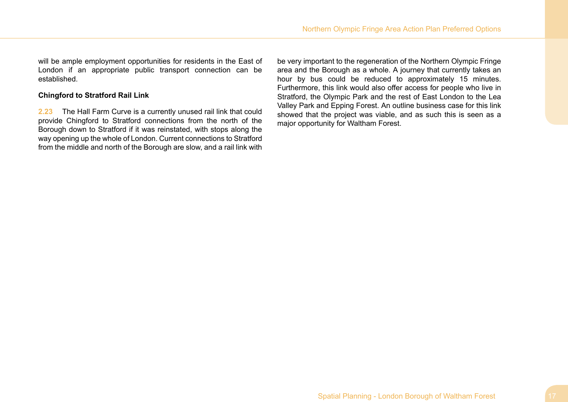will be ample employment opportunities for residents in the East of London if an appropriate public transport connection can be established.

#### **Chingford to Stratford Rail Link**

**2.23** The Hall Farm Curve is a currently unused rail link that could provide Chingford to Stratford connections from the north of the Borough down to Stratford if it was reinstated, with stops along the way opening up the whole of London. Current connections to Stratford from the middle and north of the Borough are slow, and a rail link with

be very important to the regeneration of the Northern Olympic Fringe area and the Borough as a whole. A journey that currently takes an hour by bus could be reduced to approximately 15 minutes. Furthermore, this link would also offer access for people who live in Stratford, the Olympic Park and the rest of East London to the Lea Valley Park and Epping Forest. An outline business case for this link showed that the project was viable, and as such this is seen as a major opportunity for Waltham Forest.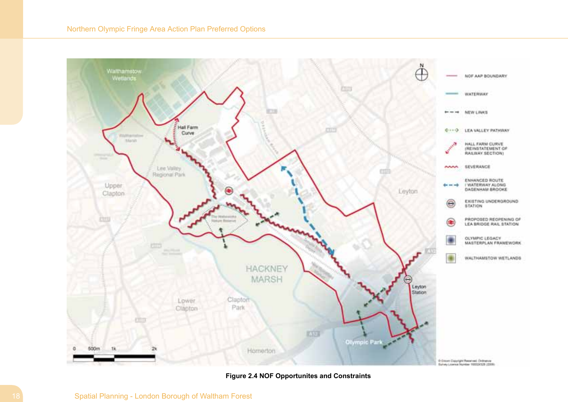![](_page_25_Figure_1.jpeg)

<span id="page-25-0"></span>**Figure 2.4 NOF Opportunites and Constraints**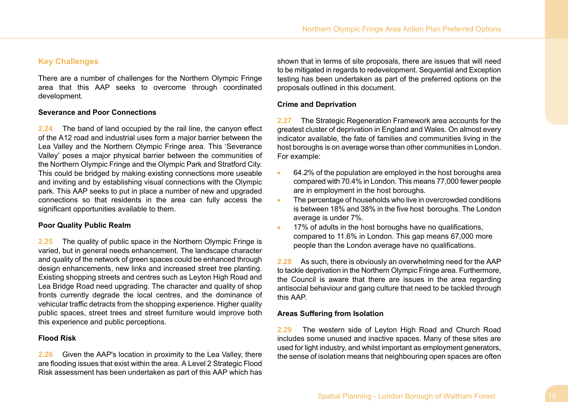#### <span id="page-26-0"></span>**Key Challenges**

There are a number of challenges for the Northern Olympic Fringe area that this AAP seeks to overcome through coordinated development.

#### **Severance and Poor Connections**

**2.24** The band of land occupied by the rail line, the canyon effect of the A12 road and industrial uses form a major barrier between the Lea Valley and the Northern Olympic Fringe area. This 'Severance Valley' poses a major physical barrier between the communities of the Northern Olympic Fringe and the Olympic Park and Stratford City. This could be bridged by making existing connections more useable and inviting and by establishing visual connections with the Olympic park. This AAP seeks to put in place a number of new and upgraded connections so that residents in the area can fully access the significant opportunities available to them.

#### **Poor Quality Public Realm**

**2.25** The quality of public space in the Northern Olympic Fringe is varied, but in general needs enhancement. The landscape character and quality of the network of green spaces could be enhanced through design enhancements, new links and increased street tree planting. Existing shopping streets and centres such as Leyton High Road and Lea Bridge Road need upgrading. The character and quality of shop fronts currently degrade the local centres, and the dominance of vehicular traffic detracts from the shopping experience. Higher quality public spaces, street trees and street furniture would improve both this experience and public perceptions.

#### **Flood Risk**

**2.26** Given the AAP's location in proximity to the Lea Valley, there are flooding issues that exist within the area. A Level 2 Strategic Flood Risk assessment has been undertaken as part of this AAP which has

shown that in terms of site proposals, there are issues that will need to be mitigated in regards to redevelopment. Sequential and Exception testing has been undertaken as part of the preferred options on the proposals outlined in this document.

#### **Crime and Deprivation**

**2.27** The Strategic Regeneration Framework area accounts for the greatest cluster of deprivation in England and Wales. On almost every indicator available, the fate of families and communities living in the host boroughs is on average worse than other communities in London. For example:

- 64.2% of the population are employed in the host boroughs area compared with 70.4% in London. This means 77,000 fewer people are in employment in the host boroughs.
- The percentage of households who live in overcrowded conditions  $\bullet$ is between 18% and 38% in the five host boroughs. The London average is under 7%.
- 17% of adults in the host boroughs have no qualifications,  $\epsilon$ compared to 11.6% in London. This gap means 67,000 more people than the London average have no qualifications.

**2.28** As such, there is obviously an overwhelming need for the AAP to tackle deprivation in the Northern Olympic Fringe area. Furthermore, the Council is aware that there are issues in the area regarding antisocial behaviour and gang culture that need to be tackled through this AAP.

#### **Areas Suffering from Isolation**

**2.29** The western side of Leyton High Road and Church Road includes some unused and inactive spaces. Many of these sites are used for light industry, and whilst important as employment generators, the sense of isolation means that neighbouring open spaces are often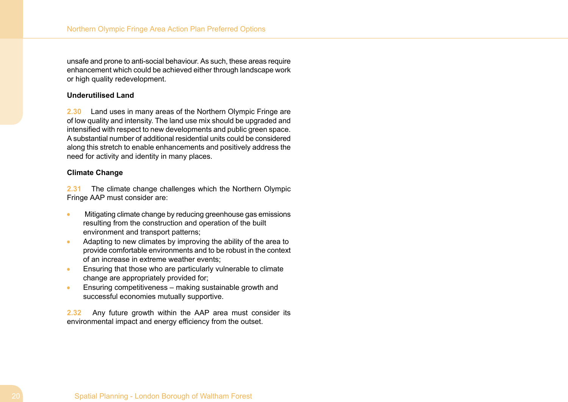unsafe and prone to anti-social behaviour. As such, these areas require enhancement which could be achieved either through landscape work or high quality redevelopment.

#### **Underutilised Land**

**2.30** Land uses in many areas of the Northern Olympic Fringe are of low quality and intensity. The land use mix should be upgraded and intensified with respect to new developments and public green space. A substantial number of additional residential units could be considered along this stretch to enable enhancements and positively address the need for activity and identity in many places.

#### **Climate Change**

**2.31** The climate change challenges which the Northern Olympic Fringe AAP must consider are:

- Mitigating climate change by reducing greenhouse gas emissions resulting from the construction and operation of the built environment and transport patterns;
- Adapting to new climates by improving the ability of the area to  $\bullet$ provide comfortable environments and to be robust in the context of an increase in extreme weather events;
- Ensuring that those who are particularly vulnerable to climate change are appropriately provided for;
- Ensuring competitiveness making sustainable growth and successful economies mutually supportive.

**2.32** Any future growth within the AAP area must consider its environmental impact and energy efficiency from the outset.